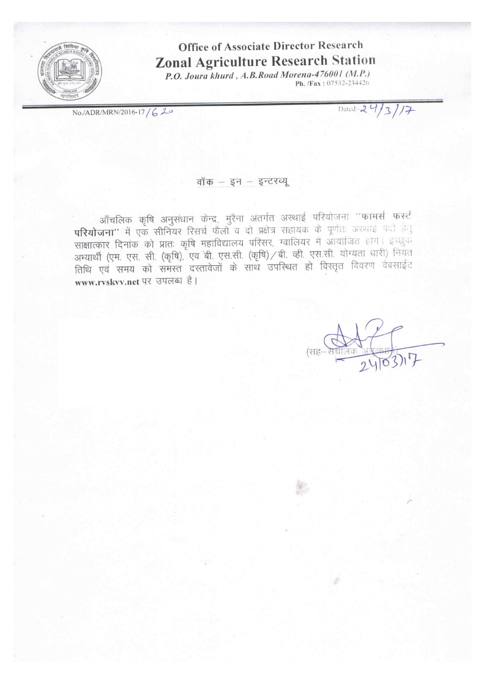

# **Office of Associate Director Research Zonal Agriculture Research Station**

P.O. Joura khurd, A.B.Road Morena-476001 (M.P.) Ph. /Fax: 07532-234426

No./ADR/MRN/2016-17/620

Dated: 24/3/17

#### वॉक - इन - इन्टरव्यू

आँचलिक कृषि अनुसंधान केन्द्र, मुरैना अंतर्गत अस्थाई परियोजना "फामर्स फर्स्ट परियोजना" में एक सीनियर रिसर्च फैलों व दो प्रक्षेत्र सहायक के पूर्णतः अरथाई पदों हैतु साक्षात्कार दिनांक को प्रातः कृषि महाविद्यालय परिसर, ग्वालियर में आयोजित होगे। इच्छुक अभ्यार्थी (एम. एस. सी. (कृषि), एव बी. एस.सी. (कृषि) / बी. व्ही. एस.सी. योग्यता धारी) नियत तिथि एवं समय को समस्त दस्तावेजों के साथ उपस्थित हो विस्तृत विवरण वेबसाईट www.rvskvv.net पर उपलब्ध है।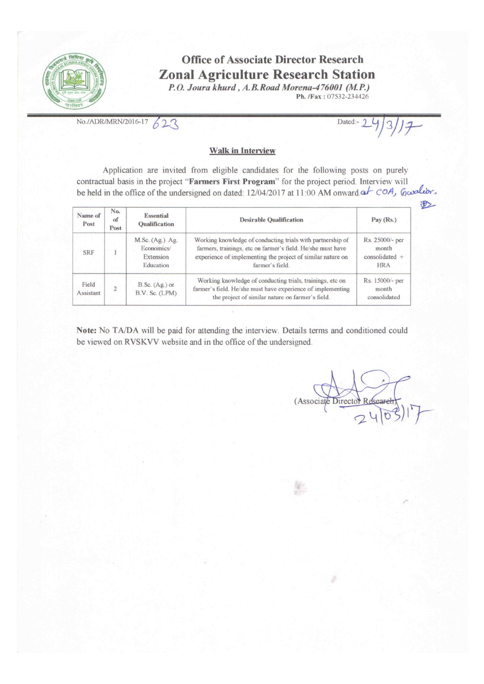

## **Office of Associate Director Research Zonal Agriculture Research Station**

P.O. Joura khurd, A.B. Road Morena-476001 (M.P.) Ph. /Fax: 07532-234426

No./ADR/MRN/2016-17  $623$ 

Dated:- 9

#2

#### **Walk in Interview**

Application are invited from eligible candidates for the following posts on purely contractual basis in the project "Farmers First Program" for the project period. Interview will be held in the office of the undersigned on dated: 12/04/2017 at 11:00 AM onward at COA, Gardier.

| Name of<br>Post    | No.<br>of<br>Post | Essential<br><b>Oualification</b>                       | <b>Desirable Qualification</b>                                                                                                                                                                              | Pay(Rs.)                                                 |
|--------------------|-------------------|---------------------------------------------------------|-------------------------------------------------------------------------------------------------------------------------------------------------------------------------------------------------------------|----------------------------------------------------------|
| <b>SRF</b>         |                   | M.Sc. (Ag.) Ag.<br>Economics/<br>Extension<br>Education | Working knowledge of conducting trials with partnership of<br>farmers, trainings, etc on farmer's field. He/she must have<br>experience of implementing the project of similar nature on<br>farmer's field. | Rs. 25000/- per<br>month<br>$considered +$<br><b>HRA</b> |
| Field<br>Assistant |                   | $B.Sc. (Ag.)$ or<br>B.V. Sc. (LPM)                      | Working knowledge of conducting trials, trainings, etc on<br>farmer's field. He/she must have experience of implementing<br>the project of similar nature on farmer's field.                                | Rs. 15000/- per<br>month<br>consolidated                 |

Note: No TA/DA will be paid for attending the interview. Details terms and conditioned could be viewed on RVSKVV website and in the office of the undersigned.

(Associate Director Re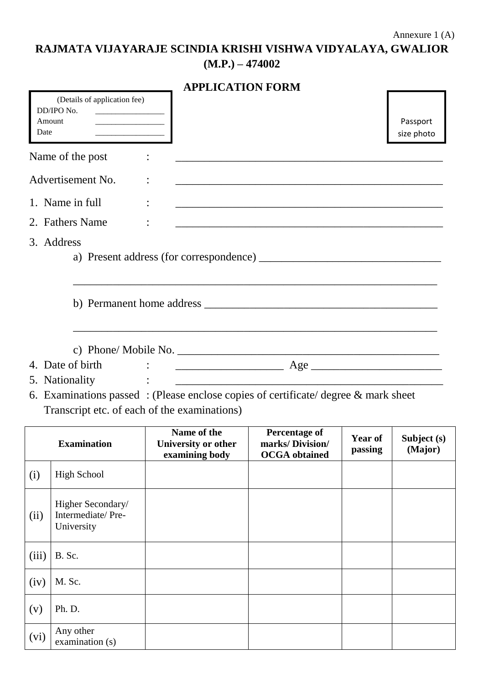**RAJMATA VIJAYARAJE SCINDIA KRISHI VISHWA VIDYALAYA, GWALIOR (M.P.) – 474002**

|                                                                                                                                        | <b>APPLICATION FORM</b>                              |                                                                                                                                                                                                                                                                                                                                                  |                           |                        |
|----------------------------------------------------------------------------------------------------------------------------------------|------------------------------------------------------|--------------------------------------------------------------------------------------------------------------------------------------------------------------------------------------------------------------------------------------------------------------------------------------------------------------------------------------------------|---------------------------|------------------------|
| (Details of application fee)<br>DD/IPO No.<br>Amount<br>Date                                                                           |                                                      |                                                                                                                                                                                                                                                                                                                                                  |                           | Passport<br>size photo |
| Name of the post                                                                                                                       |                                                      |                                                                                                                                                                                                                                                                                                                                                  |                           |                        |
| Advertisement No.                                                                                                                      |                                                      |                                                                                                                                                                                                                                                                                                                                                  |                           |                        |
| 1. Name in full                                                                                                                        |                                                      | <u> 2002 - Johann John Stein, Amerikaansk politiker (d. 1982)</u>                                                                                                                                                                                                                                                                                |                           |                        |
| 2. Fathers Name                                                                                                                        |                                                      |                                                                                                                                                                                                                                                                                                                                                  |                           |                        |
| 3. Address                                                                                                                             |                                                      |                                                                                                                                                                                                                                                                                                                                                  |                           |                        |
|                                                                                                                                        |                                                      |                                                                                                                                                                                                                                                                                                                                                  |                           |                        |
|                                                                                                                                        |                                                      | c) Phone/ Mobile No.                                                                                                                                                                                                                                                                                                                             |                           |                        |
| 4. Date of birth                                                                                                                       |                                                      | $\therefore$ $\qquad$ $\qquad$ $\qquad$ $\qquad$ $\qquad$ $\qquad$ $\qquad$ $\qquad$ $\qquad$ $\qquad$ $\qquad$ $\qquad$ $\qquad$ $\qquad$ $\qquad$ $\qquad$ $\qquad$ $\qquad$ $\qquad$ $\qquad$ $\qquad$ $\qquad$ $\qquad$ $\qquad$ $\qquad$ $\qquad$ $\qquad$ $\qquad$ $\qquad$ $\qquad$ $\qquad$ $\qquad$ $\qquad$ $\qquad$ $\qquad$ $\qquad$ |                           |                        |
| 5. Nationality                                                                                                                         | <u> 1980 - Jan Barbara Barbara, manazarta da kas</u> |                                                                                                                                                                                                                                                                                                                                                  |                           |                        |
| 6. Examinations passed : (Please enclose copies of certificate/ degree $\&$ mark sheet<br>Transcript etc. of each of the examinations) |                                                      |                                                                                                                                                                                                                                                                                                                                                  |                           |                        |
| <b>Examination</b>                                                                                                                     | Name of the<br>University or other<br>examining body | Percentage of<br>marks/Division/<br><b>OCGA</b> obtained                                                                                                                                                                                                                                                                                         | <b>Year of</b><br>passing | Subject (s)<br>(Major) |

|       | <b>Examination</b>                                   | University or other<br>examining body | marks/Division/<br><b>OCGA</b> obtained | r ear ol<br>passing | Subject (s)<br>(Major) |
|-------|------------------------------------------------------|---------------------------------------|-----------------------------------------|---------------------|------------------------|
| (i)   | <b>High School</b>                                   |                                       |                                         |                     |                        |
| (ii)  | Higher Secondary/<br>Intermediate/Pre-<br>University |                                       |                                         |                     |                        |
| (iii) | B. Sc.                                               |                                       |                                         |                     |                        |
| (iv)  | M. Sc.                                               |                                       |                                         |                     |                        |
| (v)   | Ph. D.                                               |                                       |                                         |                     |                        |
| (vi)  | Any other<br>examination (s)                         |                                       |                                         |                     |                        |